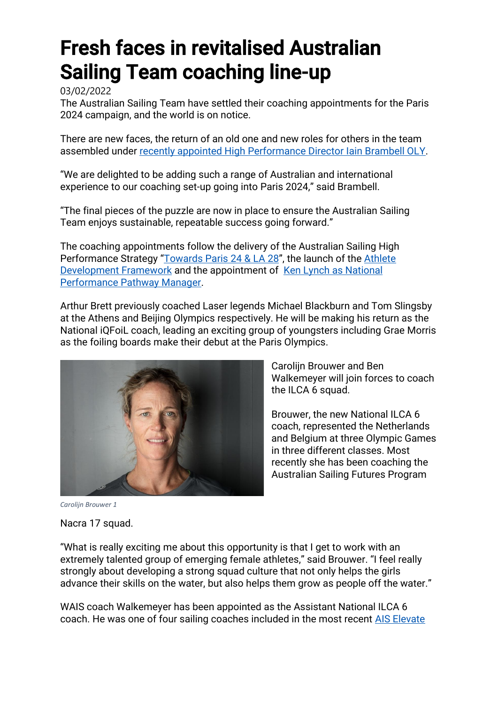## Fresh faces in revitalised Australian Sailing Team coaching line-up

03/02/2022

The Australian Sailing Team have settled their coaching appointments for the Paris 2024 campaign, and the world is on notice.

There are new faces, the return of an old one and new roles for others in the team assembled under [recently appointed High Performance Director Iain Brambell OLY.](https://www.australiansailingteam.com.au/news/iain-brambell-set-to-lead-sailings-path-to-paris/)

"We are delighted to be adding such a range of Australian and international experience to our coaching set-up going into Paris 2024," said Brambell.

"The final pieces of the puzzle are now in place to ensure the Australian Sailing Team enjoys sustainable, repeatable success going forward."

The coaching appointments follow the delivery of the Australian Sailing High Performance Strategy "[Towards Paris 24](https://cdn.revolutionise.com.au/cups/austsailteam/files/vgrqt7syntycyvr0.pdf) & LA 28", the launch of the Athlete [Development Framework](https://www.australiansailingteam.com.au/news/australian-sailing-launches-athlete-development-framework/) and the appointment of [Ken Lynch as National](https://www.australiansailingteam.com.au/news/ken-lynch-to-lead-australian-sailing-national-pathway-program-/)  [Performance Pathway Manager.](https://www.australiansailingteam.com.au/news/ken-lynch-to-lead-australian-sailing-national-pathway-program-/)

Arthur Brett previously coached Laser legends Michael Blackburn and Tom Slingsby at the Athens and Beijing Olympics respectively. He will be making his return as the National iQFoiL coach, leading an exciting group of youngsters including Grae Morris as the foiling boards make their debut at the Paris Olympics.



Carolijn Brouwer and Ben Walkemeyer will join forces to coach the ILCA 6 squad.

Brouwer, the new National ILCA 6 coach, represented the Netherlands and Belgium at three Olympic Games in three different classes. Most recently she has been coaching the Australian Sailing Futures Program

*Carolijn Brouwer 1*

## Nacra 17 squad.

"What is really exciting me about this opportunity is that I get to work with an extremely talented group of emerging female athletes," said Brouwer. "I feel really strongly about developing a strong squad culture that not only helps the girls advance their skills on the water, but also helps them grow as people off the water."

WAIS coach Walkemeyer has been appointed as the Assistant National ILCA 6 coach. He was one of four sailing coaches included in the most recent [AIS Elevate](https://www.australiansailingteam.com.au/news/four-sailing-coaches-included-in-ais-development-program/)